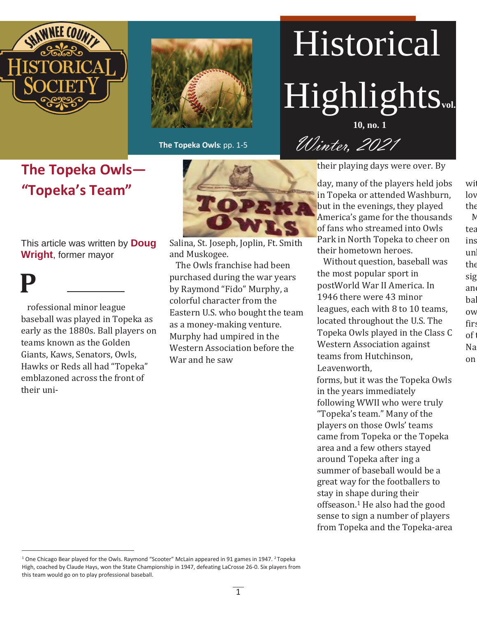



**The Topeka Owls**: pp. 1-5

# Historical Highlights**vol. 10, no. 1**

Winter, 2021

**The Topeka Owls— "Topeka's Team"**

This article was written by **Doug Wright**, former mayor

**P** rofessional minor league baseball was played in Topeka as early as the 1880s. Ball players on teams known as the Golden Giants, Kaws, Senators, Owls, Hawks or Reds all had "Topeka" emblazoned across the front of their uni-



Salina, St. Joseph, Joplin, Ft. Smith and Muskogee.

The Owls franchise had been purchased during the war years by Raymond "Fido" Murphy, a colorful character from the Eastern U.S. who bought the team as a money-making venture. Murphy had umpired in the Western Association before the War and he saw

their playing days were over. By

wit lov

 $\mathbb N$ tea ins un  $th \epsilon$ sig and bal ow first, **f** 

 $th \epsilon$ 

 $of t$ 

Na on

day, many of the players held jobs in Topeka or attended Washburn, but in the evenings, they played America's game for the thousands of fans who streamed into Owls Park in North Topeka to cheer on their hometown heroes.

Without question, baseball was the most popular sport in postWorld War II America. In 1946 there were 43 minor leagues, each with 8 to 10 teams, located throughout the U.S. The Topeka Owls played in the Class C Western Association against teams from Hutchinson, Leavenworth,

forms, but it was the Topeka Owls in the years immediately following WWII who were truly "Topeka's team." Many of the players on those Owls' teams came from Topeka or the Topeka area and a few others stayed around Topeka after ing a summer of baseball would be a great way for the footballers to stay in shape during their offseason.<sup>1</sup> He also had the good sense to sign a number of players from Topeka and the Topeka-area

<sup>&</sup>lt;sup>1</sup> One Chicago Bear played for the Owls. Raymond "Scooter" McLain appeared in 91 games in 1947. <sup>2</sup>Topeka High, coached by Claude Hays, won the State Championship in 1947, defeating LaCrosse 26-0. Six players from this team would go on to play professional baseball.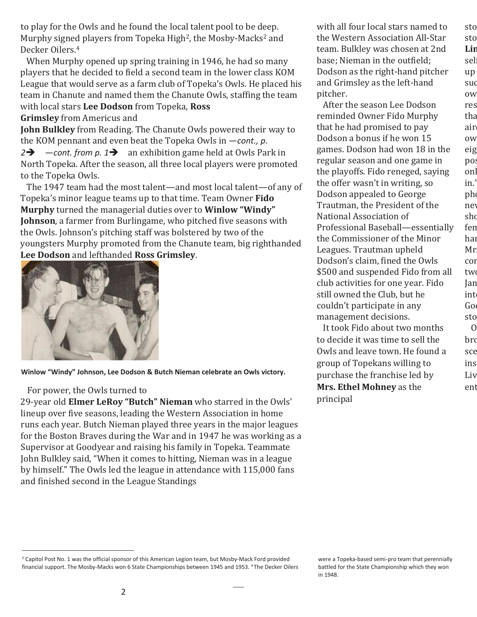to play for the Owls and he found the local talent pool to be deep. Murphy signed players from Topeka High<sup>2</sup>, the Mosby-Macks<sup>2</sup> and Decker Oilers.<sup>4</sup>

When Murphy opened up spring training in 1946, he had so many players that he decided to field a second team in the lower class KOM League that would serve as a farm club of Topeka's Owls. He placed his team in Chanute and named them the Chanute Owls, staffing the team with local stars **Lee Dodson** from Topeka, **Ross** 

**Grimsley** from Americus and

**John Bulkley** from Reading. The Chanute Owls powered their way to the KOM pennant and even beat the Topeka Owls in —*cont., p.* 

*2*➔ —*cont. from p. 1*➔ an exhibition game held at Owls Park in North Topeka. After the season, all three local players were promoted to the Topeka Owls.

The 1947 team had the most talent—and most local talent—of any of Topeka's minor league teams up to that time. Team Owner **Fido Murphy** turned the managerial duties over to **Winlow "Windy" Johnson**, a farmer from Burlingame, who pitched five seasons with the Owls. Johnson's pitching staff was bolstered by two of the youngsters Murphy promoted from the Chanute team, big righthanded **Lee Dodson** and lefthanded **Ross Grimsley**.



**Winlow "Windy" Johnson, Lee Dodson & Butch Nieman celebrate an Owls victory.**

#### For power, the Owls turned to

29-year old **Elmer LeRoy "Butch" Nieman** who starred in the Owls' lineup over five seasons, leading the Western Association in home runs each year. Butch Nieman played three years in the major leagues for the Boston Braves during the War and in 1947 he was working as a Supervisor at Goodyear and raising his family in Topeka. Teammate John Bulkley said, "When it comes to hitting, Nieman was in a league by himself." The Owls led the league in attendance with 115,000 fans and finished second in the League Standings

with all four local stars named to the Western Association All-Star team. Bulkley was chosen at 2nd base; Nieman in the outfield; Dodson as the right-hand pitcher and Grimsley as the left-hand pitcher.

sto

sto Lin sel: up suc ow res tha air

ow eig pos onl  $in.'$ 

pho new sho fen hai

Mr

sto

cor two Jan int  $Go$ 

 $\overline{0}$ 

bro sce ins Liv ent

After the season Lee Dodson reminded Owner Fido Murphy that he had promised to pay Dodson a bonus if he won 15 games. Dodson had won 18 in the regular season and one game in the playoffs. Fido reneged, saying the offer wasn't in writing, so Dodson appealed to George Trautman, the President of the National Association of Professional Baseball—essentially the Commissioner of the Minor Leagues. Trautman upheld Dodson's claim, fined the Owls \$500 and suspended Fido from all club activities for one year. Fido still owned the Club, but he couldn't participate in any management decisions.

It took Fido about two months to decide it was time to sell the Owls and leave town. He found a group of Topekans willing to purchase the franchise led by **Mrs. Ethel Mohney** as the principal

were a Topeka-based semi-pro team that perennially battled for the State Championship which they won in 1948.

<sup>&</sup>lt;sup>2</sup> Capitol Post No. 1 was the official sponsor of this American Legion team, but Mosby-Mack Ford provided financial support. The Mosby-Macks won 6 State Championships between 1945 and 1953. <sup>4</sup>The Decker Oilers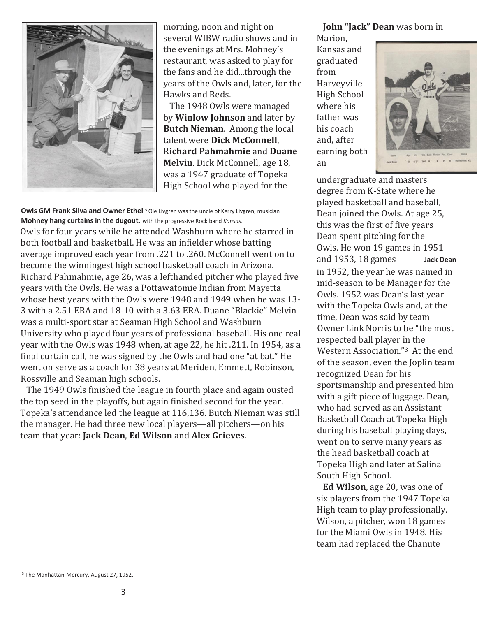

morning, noon and night on several WIBW radio shows and in the evenings at Mrs. Mohney's restaurant, was asked to play for the fans and he did...through the years of the Owls and, later, for the Hawks and Reds.

The 1948 Owls were managed by **Winlow Johnson** and later by **Butch Nieman**. Among the local talent were **Dick McConnell**, R**ichard Pahmahmie** and **Duane Melvin**. Dick McConnell, age 18, was a 1947 graduate of Topeka High School who played for the

**Owls GM Frank Silva and Owner Ethel** <sup>5</sup> Ole Livgren was the uncle of Kerry Livgren, musician **Mohney hang curtains in the dugout.** with the progressive Rock band *Kansas*.

Owls for four years while he attended Washburn where he starred in both football and basketball. He was an infielder whose batting average improved each year from .221 to .260. McConnell went on to become the winningest high school basketball coach in Arizona. Richard Pahmahmie, age 26, was a lefthanded pitcher who played five years with the Owls. He was a Pottawatomie Indian from Mayetta whose best years with the Owls were 1948 and 1949 when he was 13- 3 with a 2.51 ERA and 18-10 with a 3.63 ERA. Duane "Blackie" Melvin was a multi-sport star at Seaman High School and Washburn University who played four years of professional baseball. His one real year with the Owls was 1948 when, at age 22, he hit .211. In 1954, as a final curtain call, he was signed by the Owls and had one "at bat." He went on serve as a coach for 38 years at Meriden, Emmett, Robinson, Rossville and Seaman high schools.

The 1949 Owls finished the league in fourth place and again ousted the top seed in the playoffs, but again finished second for the year. Topeka's attendance led the league at 116,136. Butch Nieman was still the manager. He had three new local players—all pitchers—on his team that year: **Jack Dean**, **Ed Wilson** and **Alex Grieves**.

#### **John "Jack" Dean** was born in

Marion, Kansas and graduated from Harveyville High School where his father was his coach and, after earning both an



undergraduate and masters degree from K-State where he played basketball and baseball, Dean joined the Owls. At age 25, this was the first of five years Dean spent pitching for the Owls. He won 19 games in 1951 and 1953, 18 games **Jack Dean** in 1952, the year he was named in mid-season to be Manager for the Owls. 1952 was Dean's last year with the Topeka Owls and, at the time, Dean was said by team Owner Link Norris to be "the most respected ball player in the Western Association."3 At the end of the season, even the Joplin team recognized Dean for his sportsmanship and presented him with a gift piece of luggage. Dean, who had served as an Assistant Basketball Coach at Topeka High during his baseball playing days, went on to serve many years as the head basketball coach at Topeka High and later at Salina South High School.

**Ed Wilson**, age 20, was one of six players from the 1947 Topeka High team to play professionally. Wilson, a pitcher, won 18 games for the Miami Owls in 1948. His team had replaced the Chanute

<sup>3</sup> The Manhattan-Mercury, August 27, 1952.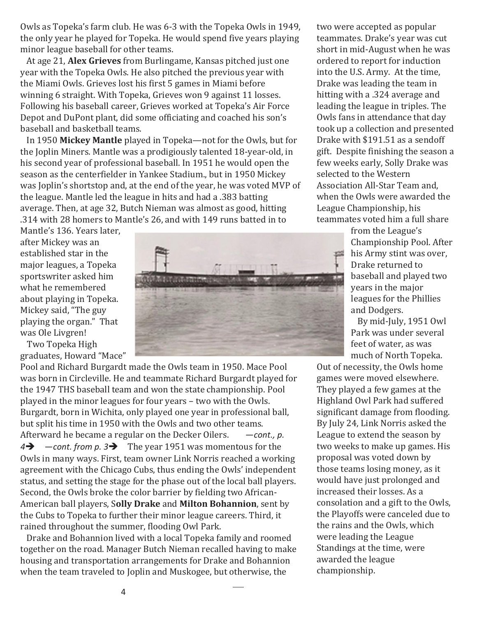Owls as Topeka's farm club. He was 6-3 with the Topeka Owls in 1949, the only year he played for Topeka. He would spend five years playing minor league baseball for other teams.

At age 21, **Alex Grieves** from Burlingame, Kansas pitched just one year with the Topeka Owls. He also pitched the previous year with the Miami Owls. Grieves lost his first 5 games in Miami before winning 6 straight. With Topeka, Grieves won 9 against 11 losses. Following his baseball career, Grieves worked at Topeka's Air Force Depot and DuPont plant, did some officiating and coached his son's baseball and basketball teams.

In 1950 **Mickey Mantle** played in Topeka—not for the Owls, but for the Joplin Miners. Mantle was a prodigiously talented 18-year-old, in his second year of professional baseball. In 1951 he would open the season as the centerfielder in Yankee Stadium., but in 1950 Mickey was Joplin's shortstop and, at the end of the year, he was voted MVP of the league. Mantle led the league in hits and had a .383 batting average. Then, at age 32, Butch Nieman was almost as good, hitting .314 with 28 homers to Mantle's 26, and with 149 runs batted in to

Mantle's 136. Years later, after Mickey was an established star in the major leagues, a Topeka sportswriter asked him what he remembered about playing in Topeka. Mickey said, "The guy playing the organ." That was Ole Livgren!

Two Topeka High graduates, Howard "Mace"

Pool and Richard Burgardt made the Owls team in 1950. Mace Pool was born in Circleville. He and teammate Richard Burgardt played for the 1947 THS baseball team and won the state championship. Pool played in the minor leagues for four years – two with the Owls. Burgardt, born in Wichita, only played one year in professional ball, but split his time in 1950 with the Owls and two other teams. Afterward he became a regular on the Decker Oilers. —*cont., p. 4*➔ —*cont. from p. 3*➔ The year 1951 was momentous for the Owls in many ways. First, team owner Link Norris reached a working agreement with the Chicago Cubs, thus ending the Owls' independent status, and setting the stage for the phase out of the local ball players. Second, the Owls broke the color barrier by fielding two African-American ball players, S**olly Drake** and **Milton Bohannion**, sent by the Cubs to Topeka to further their minor league careers. Third, it rained throughout the summer, flooding Owl Park.

Drake and Bohannion lived with a local Topeka family and roomed together on the road. Manager Butch Nieman recalled having to make housing and transportation arrangements for Drake and Bohannion when the team traveled to Joplin and Muskogee, but otherwise, the

two were accepted as popular teammates. Drake's year was cut short in mid-August when he was ordered to report for induction into the U.S. Army. At the time, Drake was leading the team in hitting with a .324 average and leading the league in triples. The Owls fans in attendance that day took up a collection and presented Drake with \$191.51 as a sendoff gift. Despite finishing the season a few weeks early, Solly Drake was selected to the Western Association All-Star Team and, when the Owls were awarded the League Championship, his teammates voted him a full share

from the League's Championship Pool. After his Army stint was over, Drake returned to baseball and played two years in the major leagues for the Phillies and Dodgers.

By mid-July, 1951 Owl Park was under several feet of water, as was much of North Topeka.

Out of necessity, the Owls home games were moved elsewhere. They played a few games at the Highland Owl Park had suffered significant damage from flooding. By July 24, Link Norris asked the League to extend the season by two weeks to make up games. His proposal was voted down by those teams losing money, as it would have just prolonged and increased their losses. As a consolation and a gift to the Owls, the Playoffs were canceled due to the rains and the Owls, which were leading the League Standings at the time, were awarded the league championship.

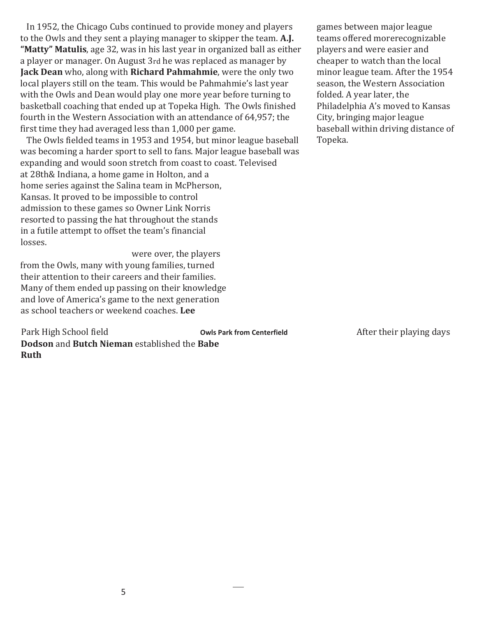In 1952, the Chicago Cubs continued to provide money and players to the Owls and they sent a playing manager to skipper the team. **A.J. "Matty" Matulis**, age 32, was in his last year in organized ball as either a player or manager. On August 3rd he was replaced as manager by **Jack Dean** who, along with **Richard Pahmahmie**, were the only two local players still on the team. This would be Pahmahmie's last year with the Owls and Dean would play one more year before turning to basketball coaching that ended up at Topeka High. The Owls finished fourth in the Western Association with an attendance of 64,957; the first time they had averaged less than 1,000 per game.

The Owls fielded teams in 1953 and 1954, but minor league baseball was becoming a harder sport to sell to fans. Major league baseball was expanding and would soon stretch from coast to coast. Televised at 28th& Indiana, a home game in Holton, and a home series against the Salina team in McPherson, Kansas. It proved to be impossible to control admission to these games so Owner Link Norris resorted to passing the hat throughout the stands in a futile attempt to offset the team's financial losses.

were over, the players from the Owls, many with young families, turned their attention to their careers and their families. Many of them ended up passing on their knowledge and love of America's game to the next generation as school teachers or weekend coaches. **Lee** 

**Dodson** and **Butch Nieman** established the **Babe Ruth**  Park High School field **Owls Park from Centerfield** After their playing days

games between major league teams offered morerecognizable players and were easier and cheaper to watch than the local minor league team. After the 1954 season, the Western Association folded. A year later, the Philadelphia A's moved to Kansas City, bringing major league baseball within driving distance of Topeka.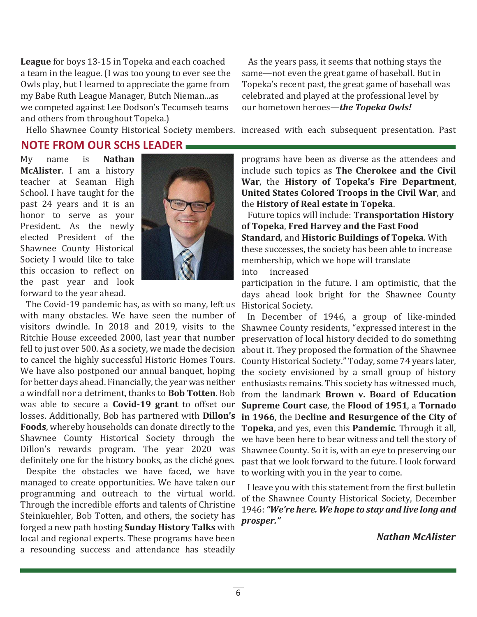**League** for boys 13-15 in Topeka and each coached a team in the league. (I was too young to ever see the Owls play, but I learned to appreciate the game from my Babe Ruth League Manager, Butch Nieman...as we competed against Lee Dodson's Tecumseh teams and others from throughout Topeka.)

As the years pass, it seems that nothing stays the same—not even the great game of baseball. But in Topeka's recent past, the great game of baseball was celebrated and played at the professional level by our hometown heroes—*the Topeka Owls!*

Hello Shawnee County Historical Society members. increased with each subsequent presentation. Past

#### **NOTE FROM OUR SCHS LEADER**

My name is **Nathan McAlister**. I am a history teacher at Seaman High School. I have taught for the past 24 years and it is an honor to serve as your President. As the newly elected President of the Shawnee County Historical Society I would like to take this occasion to reflect on the past year and look forward to the year ahead.



The Covid-19 pandemic has, as with so many, left us with many obstacles. We have seen the number of visitors dwindle. In 2018 and 2019, visits to the Ritchie House exceeded 2000, last year that number fell to just over 500. As a society, we made the decision to cancel the highly successful Historic Homes Tours. We have also postponed our annual banquet, hoping for better days ahead. Financially, the year was neither a windfall nor a detriment, thanks to **Bob Totten**. Bob was able to secure a **Covid-19 grant** to offset our losses. Additionally, Bob has partnered with **Dillon's Foods**, whereby households can donate directly to the Shawnee County Historical Society through the Dillon's rewards program. The year 2020 was definitely one for the history books, as the cliché goes.

Despite the obstacles we have faced, we have managed to create opportunities. We have taken our programming and outreach to the virtual world. Through the incredible efforts and talents of Christine Steinkuehler, Bob Totten, and others, the society has forged a new path hosting **Sunday History Talks** with local and regional experts. These programs have been a resounding success and attendance has steadily

programs have been as diverse as the attendees and include such topics as **The Cherokee and the Civil War**, the **History of Topeka's Fire Department**, **United States Colored Troops in the Civil War**, and the **History of Real estate in Topeka**.

Future topics will include: **Transportation History of Topeka**, **Fred Harvey and the Fast Food Standard**, and **Historic Buildings of Topeka**. With these successes, the society has been able to increase membership, which we hope will translate into increased

participation in the future. I am optimistic, that the days ahead look bright for the Shawnee County Historical Society.

In December of 1946, a group of like-minded Shawnee County residents, "expressed interest in the preservation of local history decided to do something about it. They proposed the formation of the Shawnee County Historical Society." Today, some 74 years later, the society envisioned by a small group of history enthusiasts remains. This society has witnessed much, from the landmark **Brown v. Board of Education Supreme Court case**, the **Flood of 1951**, a **Tornado in 1966**, the D**ecline and Resurgence of the City of Topeka**, and yes, even this **Pandemic**. Through it all, we have been here to bear witness and tell the story of Shawnee County. So it is, with an eye to preserving our past that we look forward to the future. I look forward to working with you in the year to come.

I leave you with this statement from the first bulletin of the Shawnee County Historical Society, December 1946: *"We're here. We hope to stay and live long and prosper."*

*Nathan McAlister*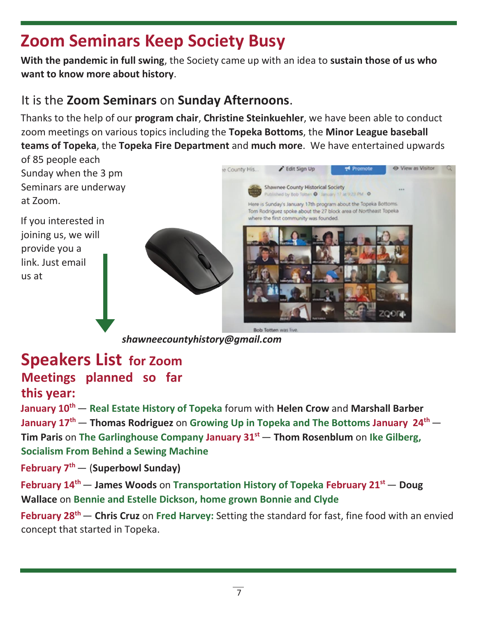### **Zoom Seminars Keep Society Busy**

**With the pandemic in full swing**, the Society came up with an idea to **sustain those of us who want to know more about history**.

#### It is the **Zoom Seminars** on **Sunday Afternoons**.

Thanks to the help of our **program chair**, **Christine Steinkuehler**, we have been able to conduct zoom meetings on various topics including the **Topeka Bottoms**, the **Minor League baseball teams of Topeka**, the **Topeka Fire Department** and **much more**. We have entertained upwards

of 85 people each Sunday when the 3 pm Seminars are underway at Zoom.

If you interested in joining us, we will provide you a link. Just email us at



*shawneecountyhistory@gmail.com*

#### **Speakers List for Zoom**

#### **Meetings planned so far this year:**

**January 10th**— **Real Estate History of Topeka** forum with **Helen Crow** and **Marshall Barber January 17th**— **Thomas Rodriguez** on **Growing Up in Topeka and The Bottoms January 24th** — **Tim Paris** on **The Garlinghouse Company January 31st** — **Thom Rosenblum** on **Ike Gilberg, Socialism From Behind a Sewing Machine**

**February 7th**— (**Superbowl Sunday)**

**February 14th**— **James Woods** on **Transportation History of Topeka February 21st** — **Doug Wallace** on **Bennie and Estelle Dickson, home grown Bonnie and Clyde**

**February 28th**— **Chris Cruz** on **Fred Harvey:** Setting the standard for fast, fine food with an envied concept that started in Topeka.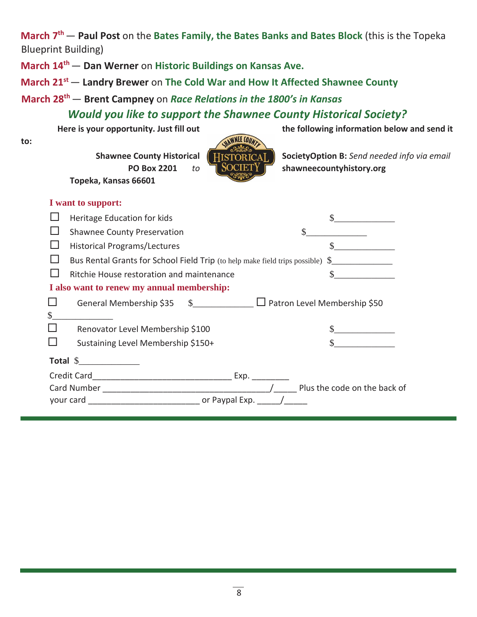**March 7th**— **Paul Post** on the **Bates Family, the Bates Banks and Bates Block** (this is the Topeka Blueprint Building)

**March 14th** — **Dan Werner** on **Historic Buildings on Kansas Ave.**

**March 21st**— **Landry Brewer** on **The Cold War and How It Affected Shawnee County**

**March 28th**— **Brent Campney** on *Race Relations in the 1800's in Kansas*

*Would you like to support the Shawnee County Historical Society?*

**to:**

**Shawnee County Historical | HISTORICAL, | SocietyOption B:** Send needed info via email **Topeka, Kansas 66601**



Here is your opportunity. Just fill out **the following information below and send it** 

| I want to support:                                                         |                                                                             |                       |
|----------------------------------------------------------------------------|-----------------------------------------------------------------------------|-----------------------|
|                                                                            | Heritage Education for kids                                                 |                       |
|                                                                            | <b>Shawnee County Preservation</b>                                          |                       |
|                                                                            | <b>Historical Programs/Lectures</b>                                         |                       |
|                                                                            | Bus Rental Grants for School Field Trip (to help make field trips possible) |                       |
|                                                                            | Ritchie House restoration and maintenance                                   |                       |
| I also want to renew my annual membership:                                 |                                                                             |                       |
| $\Box$                                                                     | General Membership \$35 \$__________ □ Patron Level Membership \$50         |                       |
| $\frac{1}{2}$                                                              |                                                                             |                       |
| $\Box$                                                                     | Renovator Level Membership \$100                                            |                       |
|                                                                            | Sustaining Level Membership \$150+                                          | <u> 1999 - Jan Ja</u> |
|                                                                            |                                                                             |                       |
| Exp.                                                                       |                                                                             |                       |
| Plus the code on the back of                                               |                                                                             |                       |
| your card __________________________________ or Paypal Exp. ______/_______ |                                                                             |                       |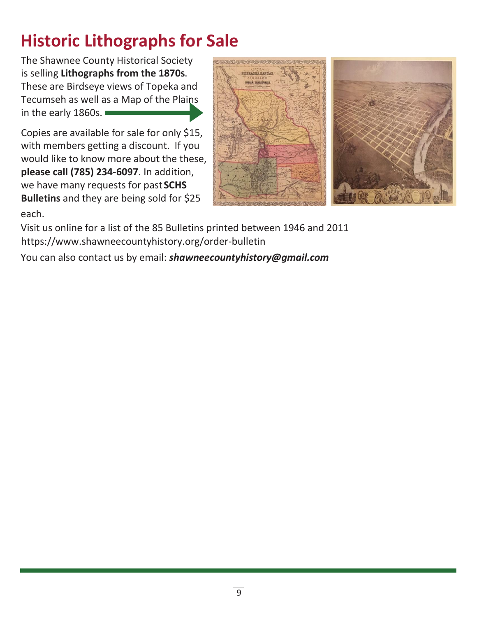## **Historic Lithographs for Sale**

The Shawnee County Historical Society is selling **Lithographs from the 1870s**. These are Birdseye views of Topeka and Tecumseh as well as a Map of the Plains in the early 1860s.

each. Copies are available for sale for only \$15, with members getting a discount. If you would like to know more about the these, **please call (785) 234-6097**. In addition, we have many requests for past **SCHS Bulletins** and they are being sold for \$25



Visit us online for a list of the 85 Bulletins printed between 1946 and 2011 https://www.shawneecountyhistory.org/order-bulletin

You can also contact us by email: *shawneecountyhistory@gmail.com*